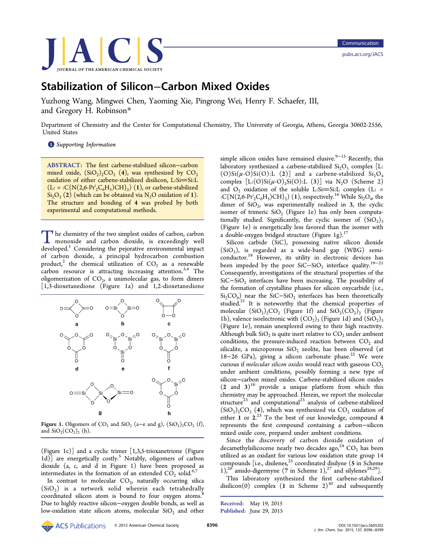

# Stabilization of Silicon−Carbon Mixed Oxides

Yuzhong Wang, Mingwei Chen, Yaoming Xie, Pingrong Wei, Henry F. Schaefer, III, and Gregory H. Robinson[\\*](#page-2-0)

Department of Chemistry and the Center for Computational Chemistry, The University of Georgia, Athens, Georgia 30602-2556, United States

**S** [Supporting Information](#page-2-0)

ABSTRACT: The first carbene-stabilized silicon−carbon mixed oxide,  $(SiO<sub>2</sub>)<sub>2</sub>CO<sub>2</sub>$  (4), was synthesized by  $CO<sub>2</sub>$ oxidation of either carbene-stabilized disilicon, L:Si=Si:L  $(L: = :C\{N(2,6\text{-}Pr_2^iC_6H_3)CH\}_2)$  (1), or carbene-stabilized  $Si<sub>2</sub>O<sub>3</sub>$  (2) (which can be obtained via N<sub>2</sub>O oxidation of 1). The structure and bonding of 4 was probed by both experimental and computational methods.

The chemistry of the two simplest oxides of carbon, carbon monoxide and carbon dioxide, is exceedingly well developed.<sup>1</sup> Considering the pejorative environmental impact of carbon dioxide, a principal hydrocarbon combustion product,<sup>[2](#page-3-0)</sup> the chemical utilization of  $CO<sub>2</sub>$  as a renewable carbon resource is attracting increasing attention.<sup>[3](#page-3-0),[4](#page-3-0)</sup> The oligomerization of  $CO<sub>2</sub>$ , a unimolecular gas, to form dimers [1,3-dioxetanedione (Figure 1a) and 1,2-dioxetanedione



Figure 1. Oligomers of  $CO_2$  and  $SiO_2$  (a–e and g),  $(SiO_2)_2CO_2$  (f), and  $SiO_2(CO_2)_2$  (h).

(Figure 1c)] and a cyclic trimer [1,3,5-trioxanetrione (Figure 1d)] are energetically costly.<sup>[5](#page-3-0)</sup> Notably, oligomers of carbon dioxide (a, c, and d in Figure 1) have been proposed as intermediates in the formation of an extended  $CO_2$  solid.<sup>[6,7](#page-3-0)</sup>

In contrast to molecular  $CO<sub>2</sub>$ , naturally occurring silica  $(SiO<sub>2</sub>)$  is a network solid wherein each tetrahedrally coordinated silicon atom is bound to four oxygen atoms.<sup>[8](#page-3-0)</sup> Due to highly reactive silicon−oxygen double bonds, as well as low-oxidation state silicon atoms, molecular  $SiO<sub>2</sub>$  and other

simple silicon oxides have remained elusive. $9-15$  $9-15$  $9-15$  Recently, this laboratory synthesized a carbene-stabilized  $Si<sub>2</sub>O<sub>3</sub>$  complex [L:  $(O)Si(\mu-O)Si(O):L(2)]$  and a carbene-stabilized  $Si<sub>2</sub>O<sub>4</sub>$ complex  $[L(O)Si(\mu-O)_2Si(O):L(3)]$  via N<sub>2</sub>O [\(Scheme 2\)](#page-1-0) and  $O_2$  oxidation of the soluble L:Si=Si:L complex (L: = :C{N(2,6-Pr<sup>i</sup><sub>2</sub>C<sub>6</sub>H<sub>3</sub>)CH}<sub>2</sub>) (1), respectively.<sup>[16](#page-3-0)</sup> While Si<sub>2</sub>O<sub>4</sub>, the dimer of  $SiO<sub>2</sub>$ , was experimentally realized in 3, the cyclic isomer of trimeric  $SiO<sub>2</sub>$  (Figure 1e) has only been computationally studied. Significantly, the cyclic isomer of  $(SiO<sub>2</sub>)<sub>3</sub>$ (Figure 1e) is energetically less favored than the isomer with a double-oxygen bridged structure (Figure 1g). $17$ 

Silicon carbide (SiC), possessing native silicon dioxide  $(SiO<sub>2</sub>)$ , is regarded as a wide-band gap  $(WBG)$  semi-conductor.<sup>[18](#page-3-0)</sup> However, its utility in electronic devices has been impeded by the poor SiC–SiO<sub>2</sub> interface quality.<sup>[19](#page-3-0)–[21](#page-3-0)</sup> Consequently, investigations of the structural properties of the SiC−SiO<sub>2</sub> interfaces have been increasing. The possibility of the formation of crystalline phases for silicon oxycarbide (i.e.,  $Si<sub>2</sub>CO<sub>6</sub>$ ) near the SiC−SiO<sub>2</sub> interfaces has been theoretically studied.<sup>[21](#page-3-0)</sup> It is noteworthy that the chemical properties of molecular  $(SiO<sub>2</sub>)<sub>2</sub>CO<sub>2</sub>$  (Figure 1f) and  $SiO<sub>2</sub>(CO<sub>2</sub>)<sub>2</sub>$  (Figure 1h), valence isoelectronic with  $(CO_2)_3$  (Figure 1d) and  $(SiO_2)_3$ (Figure 1e), remain unexplored owing to their high reactivity. Although bulk  $SiO<sub>2</sub>$  is quite inert relative to  $CO<sub>2</sub>$  under ambient conditions, the pressure-induced reaction between  $CO<sub>2</sub>$  and silicalite, a microporous  $SiO<sub>2</sub>$  zeolite, has been observed (at 18−26 GPa), giving a silicon carbonate phase.<sup>[22](#page-3-0)</sup> We were curious if molecular silicon oxides would react with gaseous  $CO<sub>2</sub>$ under ambient conditions, possibly forming a new type of silicon−carbon mixed oxides. Carbene-stabilized silicon oxides  $(2 \text{ and } 3)^{16}$  $(2 \text{ and } 3)^{16}$  $(2 \text{ and } 3)^{16}$  provide a unique platform from which this chemistry may be approached. Herein, we report the molecular structure<sup>[23](#page-3-0)</sup> and computational<sup>23</sup> analysis of carbene-stabilized  $(SiO<sub>2</sub>), CO<sub>2</sub>$  (4), which was synthesized via  $CO<sub>2</sub>$  oxidation of either 1 or 2.<sup>[23](#page-3-0)</sup> To the best of our knowledge, compound 4 represents the first compound containing a carbon−silicon mixed oxide core, prepared under ambient conditions.

Since the discovery of carbon dioxide oxidation of decamethylsilicocene nearly two decades ago,<sup>[24](#page-3-0)</sup> CO<sub>2</sub> has been utilized as an oxidant for various low oxidation state group 14 compounds  $[ie., disilenes,<sup>25</sup> coordinated disilyne ( $5$  in Scheme$  $[ie., disilenes,<sup>25</sup> coordinated disilyne ( $5$  in Scheme$  $[ie., disilenes,<sup>25</sup> coordinated disilyne ( $5$  in Scheme$  $[ie., disilenes,<sup>25</sup> coordinated disilyne ( $5$  in Scheme$ [1](#page-1-0)),<sup>[26](#page-3-0)</sup> amido-digermyne (7 in [Scheme 1](#page-1-0)),<sup>[27](#page-3-0)</sup> and silylenes<sup>[28](#page-3-0),29</sup>].

This laboratory synthesized the first carbene-stabilized disilicon(0) complex  $(1 \text{ in Scheme } 2)^{30}$  $(1 \text{ in Scheme } 2)^{30}$  $(1 \text{ in Scheme } 2)^{30}$  and subsequently

Received: May 19, 2015 Published: June 29, 2015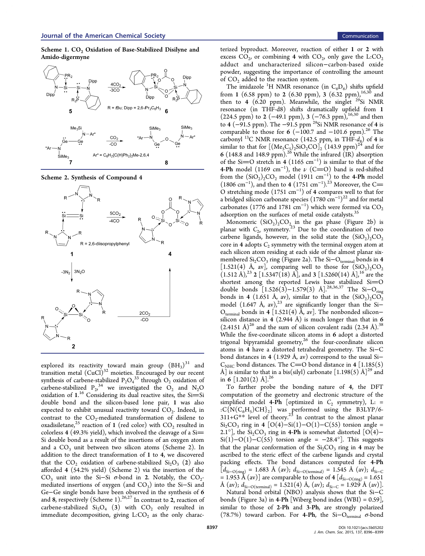<span id="page-1-0"></span>Scheme 1. CO<sub>2</sub> Oxidation of Base-Stabilized Disilyne and Amido-digermyne



Scheme 2. Synthesis of Compound 4



explored its reactivity toward main group  $(BH_3)^{31}$  $(BH_3)^{31}$  $(BH_3)^{31}$  and transition metal  $(CuC)^{32}$  $(CuC)^{32}$  $(CuC)^{32}$  moieties. Encouraged by our recent synthesis of carbene-stabilized  $P_2O_4^{33}$  $P_2O_4^{33}$  $P_2O_4^{33}$  through  $O_2$  oxidation of carbene-stabilized  $P_2^{\ 34}$  $P_2^{\ 34}$  $P_2^{\ 34}$  we investigated the  $O_2$  and  $N_2O$ oxidation of  $1.^{16}$  $1.^{16}$  $1.^{16}$  Considering its dual reactive sites, the Si=Si double bond and the silicon-based lone pair, 1 was also expected to exhibit unusual reactivity toward  $CO<sub>2</sub>$ . Indeed, in contrast to the  $CO_2$ -mediated transformation of disilene to oxadisiletane,<sup>[25](#page-3-0)</sup> reaction of 1 (red color) with  $CO_2$  resulted in colorless 4 (49.3% yield), which involved the cleavage of a  $Si=$ Si double bond as a result of the insertions of an oxygen atom and a  $CO<sub>3</sub>$  unit between two silicon atoms (Scheme 2). In addition to the direct transformation of 1 to 4, we discovered that the  $CO_2$  oxidation of carbene-stabilized  $Si_2O_3$  (2) also afforded 4 (54.2% yield) (Scheme 2) via the insertion of the CO<sub>3</sub> unit into the Si–Si  $\sigma$ -bond in 2. Notably, the CO<sub>2</sub>mediated insertions of oxygen (and CO<sub>3</sub>) into the Si-Si and Ge−Ge single bonds have been observed in the synthesis of 6 and 8, respectively (Scheme 1).<sup>[26](#page-3-0),[27](#page-3-0)</sup> In contrast to 2, reaction of carbene-stabilized  $Si<sub>2</sub>O<sub>4</sub>$  (3) with  $CO<sub>2</sub>$  only resulted in immediate decomposition, giving  $L:CO<sub>2</sub>$  as the only characterized byproduct. Moreover, reaction of either 1 or 2 with excess  $CO<sub>2</sub>$ , or combining 4 with  $CO<sub>2</sub>$ , only gave the L:CO<sub>2</sub> adduct and uncharacterized silicon−carbon-based oxide powder, suggesting the importance of controlling the amount of CO<sub>2</sub> added to the reaction system.

The imidazole <sup>1</sup>H NMR resonance (in  $C_6D_6$ ) shifts upfield from 1 (6.58 ppm) to 2 (6.[30](#page-3-0) ppm), 3 (6.32 ppm),  $^{16,30}$  and then to 4 (6.20 ppm). Meanwhile, the singlet  $^{29}Si$  NMR resonance (in THF-d8) shifts dramatically upfield from 1 (224.5 ppm) to 2 (−49.1 ppm), 3 (−76.3 ppm),  $16,30$  $16,30$  and then to 4 (−91.5 ppm). The −91.5 ppm <sup>29</sup>Si NMR resonance of 4 is comparable to those for 6 ( $-100.7$  and  $-101.6$  ppm).<sup>[26](#page-3-0)</sup> The carbonyl <sup>13</sup>C NMR resonance (142.5 ppm, in THF- $d_8$ ) of 4 is similar to that for  $\left[\frac{(\text{Me}_5\text{C}_5)}{2} \cdot \frac{\text{SiO}_2\text{CO}}{2}\right]_2 \cdot \left(\frac{143.9 \text{ ppm}}{2}\right)^{24}$  $\left[\frac{(\text{Me}_5\text{C}_5)}{2} \cdot \frac{\text{SiO}_2\text{CO}}{2}\right]_2 \cdot \left(\frac{143.9 \text{ ppm}}{2}\right)^{24}$  $\left[\frac{(\text{Me}_5\text{C}_5)}{2} \cdot \frac{\text{SiO}_2\text{CO}}{2}\right]_2 \cdot \left(\frac{143.9 \text{ ppm}}{2}\right)^{24}$  and for 6 (148.8 and 148.9 ppm).<sup>[26](#page-3-0)</sup> While the infrared  $\widehat{(IR)}$  absorption of the Si=O stretch in 4 (1165 cm<sup>-1</sup>) is similar to that of the 4-Ph model (1169 cm<sup>-1</sup>), the  $\nu$  (C=O) band is red-shifted from the  $(SiO<sub>2</sub>)<sub>2</sub>CO<sub>2</sub>$  model (1911 cm<sup>-1</sup>) to the 4-Ph model (1806 cm<sup>-1</sup>), and then to 4 (1751 cm<sup>-1</sup>).<sup>[23](#page-3-0)</sup> Moreover, the C= O stretching mode  $(1751 \text{ cm}^{-1})$  of 4 compares well to that for a bridged silicon carbonate species  $(1780 \text{ cm}^{-1})^{22}$  $(1780 \text{ cm}^{-1})^{22}$  $(1780 \text{ cm}^{-1})^{22}$  and for metal carbonates (1776 and 1781 cm<sup>-1</sup>) which were formed via CO<sub>2</sub> adsorption on the surfaces of metal oxide catalysts.<sup>[35](#page-3-0)</sup>

Monomeric  $(SiO_2)_2CO_{2,2}$  in the gas phase ([Figure 2b](#page-2-0)) is planar with  $C_{2\nu}$  symmetry.<sup>[23](#page-3-0)</sup> Due to the coordination of two carbene ligands, however, in the solid state the  $(SiO<sub>2</sub>)<sub>2</sub>CO<sub>2</sub>$ core in 4 adopts  $C_2$  symmetry with the terminal oxygen atom at each silicon atom residing at each side of the almost planar sixmembered  $Si<sub>2</sub>CO<sub>3</sub>$  ring [\(Figure 2a](#page-2-0)). The Si- $O<sub>terminal</sub>$  bonds in 4 [1.521(4) Å, av], comparing well to those for  $(SiO<sub>2</sub>)<sub>2</sub>CO<sub>2</sub>$  $(1.512 \text{ Å})^{23}$  $(1.512 \text{ Å})^{23}$  $(1.512 \text{ Å})^{23}$  2  $[1.5347(18) \text{ Å}]$ , and 3  $[1.5260(14) \text{ Å}]^{16}$  $[1.5260(14) \text{ Å}]^{16}$  $[1.5260(14) \text{ Å}]^{16}$  are the shortest among the reported Lewis base stabilized  $Si=O$ double bonds  $[1.526(3)-1.579(3)$  Å].<sup>[28,36](#page-3-0),[37](#page-3-0)</sup> The Si-O<sub>ring</sub> bonds in 4 (1.651 Å, av), similar to that in the  $(SiO_2)_2CO_2$ model  $(1.647 \text{ Å}, \text{ av})^{23}$  $(1.647 \text{ Å}, \text{ av})^{23}$  $(1.647 \text{ Å}, \text{ av})^{23}$  are significantly longer than the Si-O<sub>terminal</sub> bonds in 4 [1.521(4) Å, av]. The nonbonded silicon– silicon distance in 4 (2.944 Å) is much longer than that in  $6$  $(2.4151 \text{ Å})^{26}$  $(2.4151 \text{ Å})^{26}$  $(2.4151 \text{ Å})^{26}$  and the sum of silicon covalent radii  $(2.34 \text{ Å})^{38}$  $(2.34 \text{ Å})^{38}$  $(2.34 \text{ Å})^{38}$ While the five-coordinate silicon atoms in 6 adopt a distorted trigonal bipyramidal geometry, $^{26}$  $^{26}$  $^{26}$  the four-coordinate silicon atoms in 4 have a distorted tetrahedral geometry. The Si−C bond distances in 4 (1.929 Å, av) correspond to the usual Si−  $C<sub>NHC</sub>$  bond distances. The C=O bond distance in 4 [1.185(5) Å] is similar to that in a bis(silyl) carbonate  $[1.198(5)$  Å]<sup>[29](#page-3-0)</sup> and in 6  $[1.201(2)$  Å].<sup>[26](#page-3-0)</sup>

To further probe the bonding nature of 4, the DFT computation of the geometry and electronic structure of the simplified model 4-Ph [optimized in  $C_2$  symmetry), L: = : $C\{N(C_6H_5)CH\}_2$ ] was performed using the B3LYP/6- $311+G^{**}$  level of theory.<sup>[23](#page-3-0)</sup> In contrast to the almost planar Si<sub>2</sub>CO<sub>3</sub> ring in 4 [O(4)–Si(1)–O(1)–C(55) torsion angle = 2.1°], the Si<sub>2</sub>CO<sub>3</sub> ring in 4-Ph is somewhat distorted [O(4)– Si(1)–O(1)–C(55) torsion angle =  $-28.4^{\circ}$ ]. This suggests that the planar conformation of the  $Si<sub>2</sub>CO<sub>3</sub>$  ring in 4 may be ascribed to the steric effect of the carbene ligands and crystal packing effects. The bond distances computed for 4-Ph  $[d_{\text{Si}-\text{O}(ring)} = 1.683 \text{ Å} \text{ (av)}$ ;  $d_{\text{Si}-\text{O}(terminal)} = 1.545 \text{ Å} \text{ (av)}$ ;  $d_{\text{Si}-\text{C}}$ = 1.953 Å (av)] are comparable to those of 4  $[d_{\text{Si}-\text{O}( \mathrm{ring})}$  = 1.651 Å (av);  $d_{\text{Si}-\text{O(terminal)}} = 1.521(4)$  Å, (av);  $d_{\text{Si}-\text{C}} = 1.929$  Å (av)].

Natural bond orbital (NBO) analysis shows that the Si−C bonds [\(Figure 3a](#page-2-0)) in 4-Ph [Wiberg bond index  $(WBI) = 0.59$ ], similar to those of 2-Ph and 3-Ph, are strongly polarized (78.7%) toward carbon. For 4-Ph, the Si $-O_{\text{terminal}}$   $\sigma$ -bond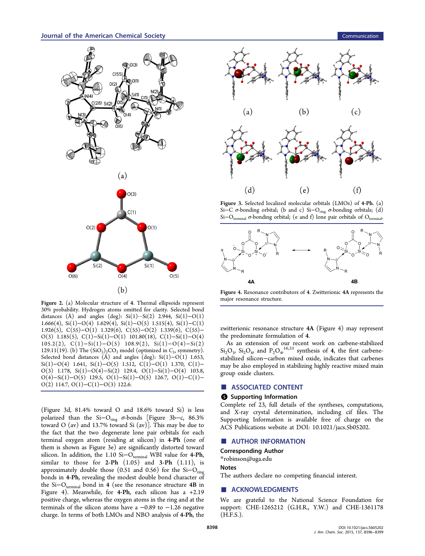<span id="page-2-0"></span>

Figure 2. (a) Molecular structure of 4. Thermal ellipsoids represent 30% probability. Hydrogen atoms omitted for clarity. Selected bond distances (Å) and angles (deg):  $Si(1)\cdots Si(2)$  2.944,  $Si(1)-O(1)$ 1.666(4), Si(1)−O(4) 1.629(4), Si(1)−O(5) 1.515(4), Si(1)−C(1) 1.926(5), C(55)−O(1) 1.329(6), C(55)−O(2) 1.339(6), C(55)− O(3) 1.185(5), C(1)−Si(1)−O(1) 101.80(18), C(1)−Si(1)−O(4) 105.2(2), C(1)−Si(1)−O(5) 108.9(2), Si(1)−O(4)−Si(2) 129.11(19). (b) The  $(SiO_2)_2CO_2$  model (optimized in  $C_{2\nu}$  symmetry). Selected bond distances (Å) and angles (deg): Si(1)−O(1) 1.653, Si(1)–O(4) 1.641, Si(1)–O(5) 1.512, C(1)–O(1) 1.370, C(1)– O(3) 1.178, Si(1)−O(4)−Si(2) 129.4, O(1)−Si(1)−O(4) 103.8, O(4)−Si(1)−O(5) 129.5, O(1)−Si(1)−O(5) 126.7, O(1)−C(1)− O(2) 114.7, O(1)−C(1)−O(3) 122.6.

(Figure 3d, 81.4% toward O and 18.6% toward Si) is less polarized than the Si- $O_{ring}$   $\sigma$ -bonds [Figure 3b-c, 86.3% toward O (av) and 13.7% toward Si (av)]. This may be due to the fact that the two degenerate lone pair orbitals for each terminal oxygen atom (residing at silicon) in 4-Ph (one of them is shown as Figure 3e) are significantly distorted toward silicon. In addition, the 1.10 Si $-O_{\text{terminal}}$  WBI value for 4-Ph, similar to those for 2-Ph  $(1.05)$  and 3-Ph  $(1.11)$ , is approximately double those (0.51 and 0.56) for the  $Si-O_{ring}$ bonds in 4-Ph, revealing the modest double bond character of the Si– $O_{\text{terminal}}$  bond in 4 (see the resonance structure 4B in Figure 4). Meanwhile, for 4-Ph, each silicon has a +2.19 positive charge, whereas the oxygen atoms in the ring and at the terminals of the silicon atoms have a  $-0.89$  to  $-1.26$  negative charge. In terms of both LMOs and NBO analysis of 4-Ph, the



Figure 3. Selected localized molecular orbitals (LMOs) of 4-Ph. (a) Si-C σ-bonding orbital; (b and c) Si-O<sub>ring</sub> σ-bonding orbitals; (d) Si–O<sub>terminal</sub>  $\sigma$ -bonding orbital; (e and f) lone pair orbitals of O<sub>terr</sub>



Figure 4. Resonance contributors of 4. Zwitterionic 4A represents the major resonance structure.

zwitterionic resonance structure 4A (Figure 4) may represent the predominate formulation of 4.

As an extension of our recent work on carbene-stabilized  $\text{Si}_2\text{O}_3$ ,  $\text{Si}_2\text{O}_4$ , and  $\text{P}_2\text{O}_4$ ,  $\text{Li}_3$ , synthesis of 4, the first carbenestabilized silicon−carbon mixed oxide, indicates that carbenes may be also employed in stabilizing highly reactive mixed main group oxide clusters.

#### ■ ASSOCIATED CONTENT

## **6** Supporting Information

Complete ref [23,](#page-3-0) full details of the syntheses, computations, and X-ray crystal determination, including cif files. The Supporting Information is available free of charge on the [ACS Publications website](http://pubs.acs.org) at DOI: [10.1021/jacs.5b05202.](http://pubs.acs.org/doi/abs/10.1021/jacs.5b05202)

#### ■ AUTHOR INFORMATION

## Corresponding Author

\*[robinson@uga.edu](mailto:robinson@uga.edu)

#### **Notes**

The authors declare no competing financial interest.

## ■ ACKNOWLEDGMENTS

We are grateful to the National Science Foundation for support: CHE-1265212 (G.H.R., Y.W.) and CHE-1361178 (H.F.S.).